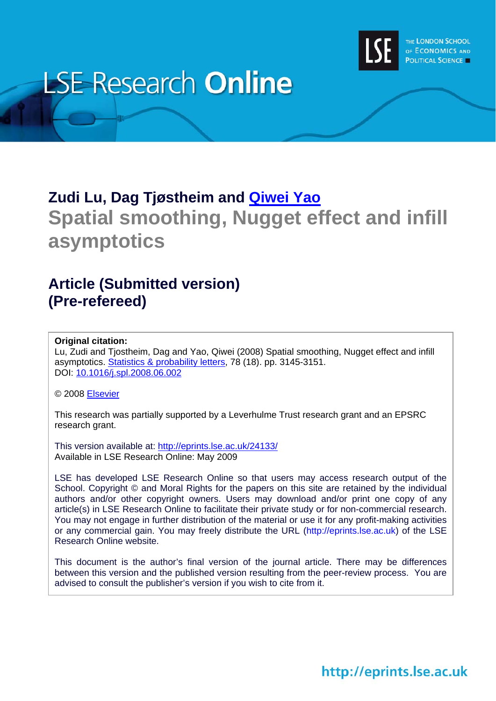

# **LSE Research Online**

# **Zudi Lu, Dag Tjøstheim and [Qiwei Yao](http://www2.lse.ac.uk/researchAndExpertise/Experts/profile.aspx?KeyValue=q.yao@lse.ac.uk) Spatial smoothing, Nugget effect and infill asymptotics**

# **Article (Submitted version) (Pre-refereed)**

### **Original citation:**

Lu, Zudi and Tjostheim, Dag and Yao, Qiwei (2008) Spatial smoothing, Nugget effect and infill asymptotics. [Statistics & probability letters](http://www.elsevier.com/locate/stapro), 78 (18). pp. 3145-3151. DOI: [10.1016/j.spl.2008.06.002](http://dx.doi.org/10.1016/j.spl.2008.06.002)

© 2008 [Elsevier](http://www.elsevier.com/)

This research was partially supported by a Leverhulme Trust research grant and an EPSRC research grant.

This version available at: <http://eprints.lse.ac.uk/24133/> Available in LSE Research Online: May 2009

LSE has developed LSE Research Online so that users may access research output of the School. Copyright © and Moral Rights for the papers on this site are retained by the individual authors and/or other copyright owners. Users may download and/or print one copy of any article(s) in LSE Research Online to facilitate their private study or for non-commercial research. You may not engage in further distribution of the material or use it for any profit-making activities or any commercial gain. You may freely distribute the URL (http://eprints.lse.ac.uk) of the LSE Research Online website.

This document is the author's final version of the journal article. There may be differences between this version and the published version resulting from the peer-review process. You are advised to consult the publisher's version if you wish to cite from it.

http://eprints.lse.ac.uk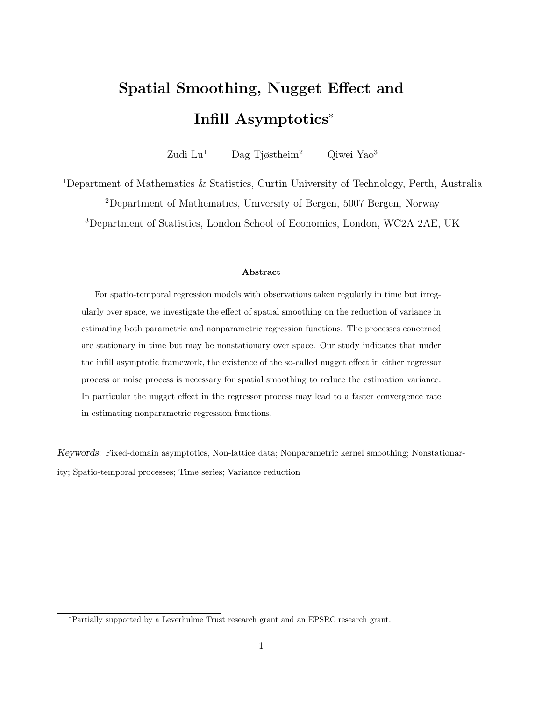# Spatial Smoothing, Nugget Effect and Infill Asymptotics<sup>∗</sup>

Zudi Lu<sup>1</sup> Dag Tjøstheim<sup>2</sup> Qiwei Yao<sup>3</sup>

<sup>1</sup>Department of Mathematics & Statistics, Curtin University of Technology, Perth, Australia

<sup>2</sup>Department of Mathematics, University of Bergen, 5007 Bergen, Norway

<sup>3</sup>Department of Statistics, London School of Economics, London, WC2A 2AE, UK

#### Abstract

For spatio-temporal regression models with observations taken regularly in time but irregularly over space, we investigate the effect of spatial smoothing on the reduction of variance in estimating both parametric and nonparametric regression functions. The processes concerned are stationary in time but may be nonstationary over space. Our study indicates that under the infill asymptotic framework, the existence of the so-called nugget effect in either regressor process or noise process is necessary for spatial smoothing to reduce the estimation variance. In particular the nugget effect in the regressor process may lead to a faster convergence rate in estimating nonparametric regression functions.

Keywords: Fixed-domain asymptotics, Non-lattice data; Nonparametric kernel smoothing; Nonstationarity; Spatio-temporal processes; Time series; Variance reduction

<sup>∗</sup>Partially supported by a Leverhulme Trust research grant and an EPSRC research grant.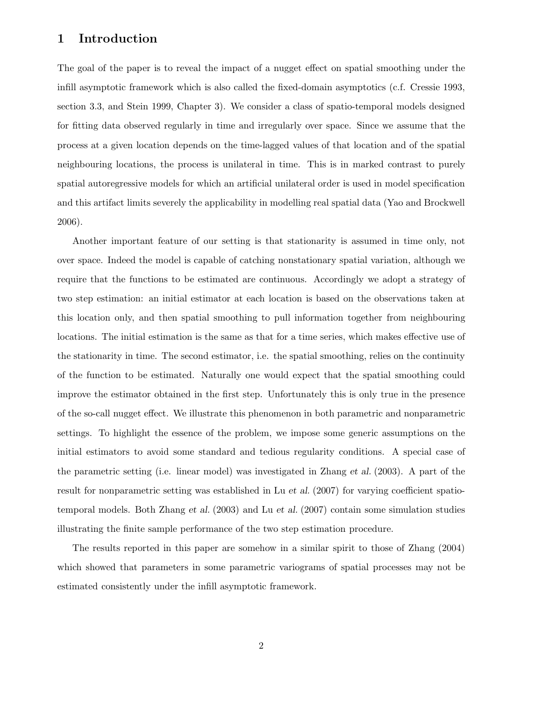### 1 Introduction

The goal of the paper is to reveal the impact of a nugget effect on spatial smoothing under the infill asymptotic framework which is also called the fixed-domain asymptotics (c.f. Cressie 1993, section 3.3, and Stein 1999, Chapter 3). We consider a class of spatio-temporal models designed for fitting data observed regularly in time and irregularly over space. Since we assume that the process at a given location depends on the time-lagged values of that location and of the spatial neighbouring locations, the process is unilateral in time. This is in marked contrast to purely spatial autoregressive models for which an artificial unilateral order is used in model specification and this artifact limits severely the applicability in modelling real spatial data (Yao and Brockwell 2006).

Another important feature of our setting is that stationarity is assumed in time only, not over space. Indeed the model is capable of catching nonstationary spatial variation, although we require that the functions to be estimated are continuous. Accordingly we adopt a strategy of two step estimation: an initial estimator at each location is based on the observations taken at this location only, and then spatial smoothing to pull information together from neighbouring locations. The initial estimation is the same as that for a time series, which makes effective use of the stationarity in time. The second estimator, i.e. the spatial smoothing, relies on the continuity of the function to be estimated. Naturally one would expect that the spatial smoothing could improve the estimator obtained in the first step. Unfortunately this is only true in the presence of the so-call nugget effect. We illustrate this phenomenon in both parametric and nonparametric settings. To highlight the essence of the problem, we impose some generic assumptions on the initial estimators to avoid some standard and tedious regularity conditions. A special case of the parametric setting (i.e. linear model) was investigated in Zhang et al. (2003). A part of the result for nonparametric setting was established in Lu et al. (2007) for varying coefficient spatiotemporal models. Both Zhang et al. (2003) and Lu et al. (2007) contain some simulation studies illustrating the finite sample performance of the two step estimation procedure.

The results reported in this paper are somehow in a similar spirit to those of Zhang (2004) which showed that parameters in some parametric variograms of spatial processes may not be estimated consistently under the infill asymptotic framework.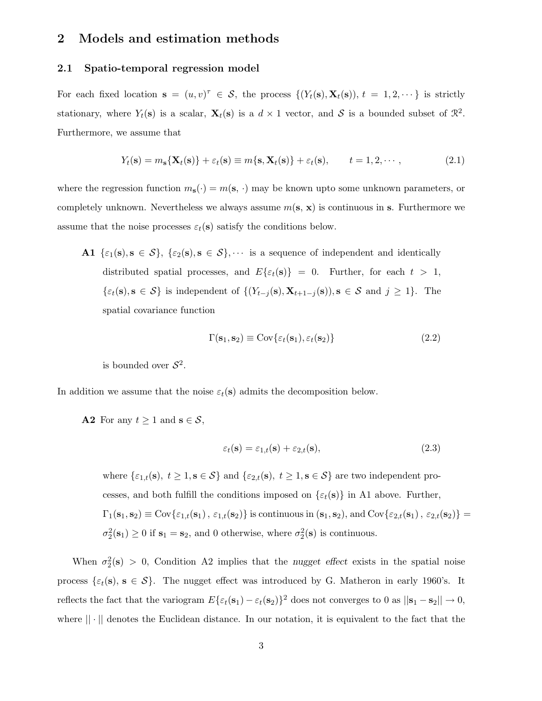### 2 Models and estimation methods

#### 2.1 Spatio-temporal regression model

For each fixed location  $\mathbf{s} = (u, v)^\tau \in \mathcal{S}$ , the process  $\{(Y_t(\mathbf{s}), \mathbf{X}_t(\mathbf{s})), t = 1, 2, \dots\}$  is strictly stationary, where  $Y_t(\mathbf{s})$  is a scalar,  $\mathbf{X}_t(\mathbf{s})$  is a  $d \times 1$  vector, and  $S$  is a bounded subset of  $\mathbb{R}^2$ . Furthermore, we assume that

$$
Y_t(\mathbf{s}) = m_\mathbf{s} \{ \mathbf{X}_t(\mathbf{s}) \} + \varepsilon_t(\mathbf{s}) \equiv m \{ \mathbf{s}, \mathbf{X}_t(\mathbf{s}) \} + \varepsilon_t(\mathbf{s}), \qquad t = 1, 2, \cdots,
$$
\n(2.1)

where the regression function  $m_{s}(\cdot) = m(s, \cdot)$  may be known upto some unknown parameters, or completely unknown. Nevertheless we always assume  $m(s, x)$  is continuous in s. Furthermore we assume that the noise processes  $\varepsilon_t(\mathbf{s})$  satisfy the conditions below.

A1  $\{\varepsilon_1(s), s \in S\}, \{\varepsilon_2(s), s \in S\},\cdots$  is a sequence of independent and identically distributed spatial processes, and  $E\{\varepsilon_t(\mathbf{s})\}=0$ . Further, for each  $t > 1$ ,  $\{\varepsilon_t(\mathbf{s}), \mathbf{s} \in \mathcal{S}\}\$ is independent of  $\{(Y_{t-j}(\mathbf{s}), \mathbf{X}_{t+1-j}(\mathbf{s})), \mathbf{s} \in \mathcal{S} \text{ and } j \geq 1\}.$  The spatial covariance function

$$
\Gamma(\mathbf{s}_1, \mathbf{s}_2) \equiv \text{Cov}\{\varepsilon_t(\mathbf{s}_1), \varepsilon_t(\mathbf{s}_2)\}\tag{2.2}
$$

is bounded over  $S^2$ .

In addition we assume that the noise  $\varepsilon_t(s)$  admits the decomposition below.

**A2** For any  $t \geq 1$  and  $s \in \mathcal{S}$ ,

$$
\varepsilon_t(\mathbf{s}) = \varepsilon_{1,t}(\mathbf{s}) + \varepsilon_{2,t}(\mathbf{s}),\tag{2.3}
$$

where  $\{\varepsilon_{1,t}(\mathbf{s}), t \geq 1, \mathbf{s} \in \mathcal{S}\}\$ and  $\{\varepsilon_{2,t}(\mathbf{s}), t \geq 1, \mathbf{s} \in \mathcal{S}\}\$ are two independent processes, and both fulfill the conditions imposed on  $\{\varepsilon_t(\mathbf{s})\}$  in A1 above. Further,  $\Gamma_1(\mathbf{s}_1,\mathbf{s}_2) \equiv \text{Cov}\{\varepsilon_{1,t}(\mathbf{s}_1),\,\varepsilon_{1,t}(\mathbf{s}_2)\}\$ is continuous in  $(\mathbf{s}_1,\mathbf{s}_2),$  and  $\text{Cov}\{\varepsilon_{2,t}(\mathbf{s}_1),\,\varepsilon_{2,t}(\mathbf{s}_2)\} =$  $\sigma_2^2(\mathbf{s}_1) \ge 0$  if  $\mathbf{s}_1 = \mathbf{s}_2$ , and 0 otherwise, where  $\sigma_2^2(\mathbf{s})$  is continuous.

When  $\sigma_2^2(s) > 0$ , Condition A2 implies that the nugget effect exists in the spatial noise process  $\{\varepsilon_t(\mathbf{s}), \mathbf{s} \in \mathcal{S}\}\$ . The nugget effect was introduced by G. Matheron in early 1960's. It reflects the fact that the variogram  $E{\{\varepsilon_t(\mathbf{s}_1) - \varepsilon_t(\mathbf{s}_2)\}}^2$  does not converges to 0 as  $||\mathbf{s}_1 - \mathbf{s}_2|| \to 0$ , where  $|| \cdot ||$  denotes the Euclidean distance. In our notation, it is equivalent to the fact that the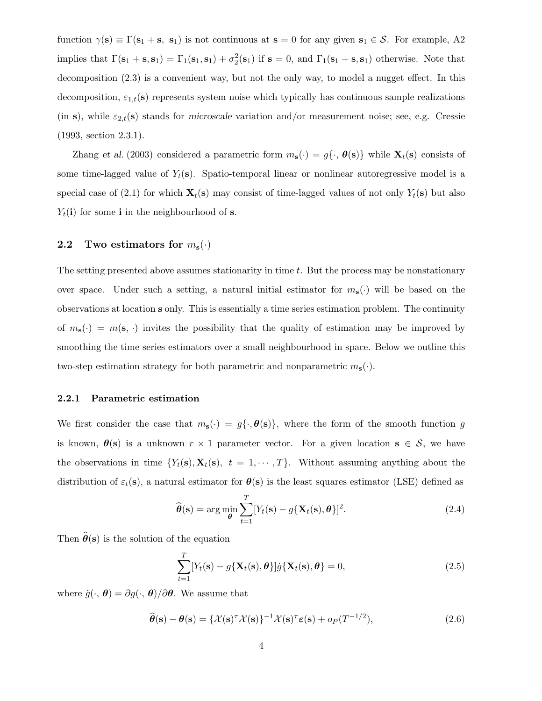function  $\gamma(s) \equiv \Gamma(s_1 + s, s_1)$  is not continuous at  $s = 0$  for any given  $s_1 \in S$ . For example, A2 implies that  $\Gamma(\mathbf{s}_1 + \mathbf{s}, \mathbf{s}_1) = \Gamma_1(\mathbf{s}_1, \mathbf{s}_1) + \sigma_2^2(\mathbf{s}_1)$  if  $\mathbf{s} = 0$ , and  $\Gamma_1(\mathbf{s}_1 + \mathbf{s}, \mathbf{s}_1)$  otherwise. Note that decomposition (2.3) is a convenient way, but not the only way, to model a nugget effect. In this decomposition,  $\varepsilon_{1,t}(\mathbf{s})$  represents system noise which typically has continuous sample realizations (in s), while  $\varepsilon_{2,t}(\mathbf{s})$  stands for microscale variation and/or measurement noise; see, e.g. Cressie (1993, section 2.3.1).

Zhang et al. (2003) considered a parametric form  $m_s(\cdot) = g(\cdot, \theta(s))$  while  $\mathbf{X}_t(s)$  consists of some time-lagged value of  $Y_t(\mathbf{s})$ . Spatio-temporal linear or nonlinear autoregressive model is a special case of (2.1) for which  $\mathbf{X}_t(\mathbf{s})$  may consist of time-lagged values of not only  $Y_t(\mathbf{s})$  but also  $Y_t(i)$  for some i in the neighbourhood of s.

# 2.2 Two estimators for  $m_s(\cdot)$

The setting presented above assumes stationarity in time t. But the process may be nonstationary over space. Under such a setting, a natural initial estimator for  $m_s(\cdot)$  will be based on the observations at location s only. This is essentially a time series estimation problem. The continuity of  $m_s(\cdot) = m(s, \cdot)$  invites the possibility that the quality of estimation may be improved by smoothing the time series estimators over a small neighbourhood in space. Below we outline this two-step estimation strategy for both parametric and nonparametric  $m_s(\cdot)$ .

#### 2.2.1 Parametric estimation

We first consider the case that  $m_s(\cdot) = g(\cdot, \theta(s))$ , where the form of the smooth function g is known,  $\theta(s)$  is a unknown  $r \times 1$  parameter vector. For a given location  $s \in S$ , we have the observations in time  $\{Y_t(\mathbf{s}), \mathbf{X}_t(\mathbf{s}), t = 1, \cdots, T\}$ . Without assuming anything about the distribution of  $\varepsilon_t(\mathbf{s})$ , a natural estimator for  $\theta(\mathbf{s})$  is the least squares estimator (LSE) defined as

$$
\widehat{\boldsymbol{\theta}}(\mathbf{s}) = \arg\min_{\boldsymbol{\theta}} \sum_{t=1}^{T} [Y_t(\mathbf{s}) - g\{\mathbf{X}_t(\mathbf{s}), \boldsymbol{\theta}\}]^2.
$$
 (2.4)

Then  $\hat{\theta}(s)$  is the solution of the equation

$$
\sum_{t=1}^{T} [Y_t(\mathbf{s}) - g\{\mathbf{X}_t(\mathbf{s}), \boldsymbol{\theta}\}] \dot{g}\{\mathbf{X}_t(\mathbf{s}), \boldsymbol{\theta}\} = 0,
$$
\n(2.5)

where  $\dot{g}(\cdot, \theta) = \partial g(\cdot, \theta) / \partial \theta$ . We assume that

$$
\widehat{\boldsymbol{\theta}}(\mathbf{s}) - \boldsymbol{\theta}(\mathbf{s}) = \{ \mathcal{X}(\mathbf{s})^{\tau} \mathcal{X}(\mathbf{s}) \}^{-1} \mathcal{X}(\mathbf{s})^{\tau} \boldsymbol{\varepsilon}(\mathbf{s}) + o_P(T^{-1/2}), \tag{2.6}
$$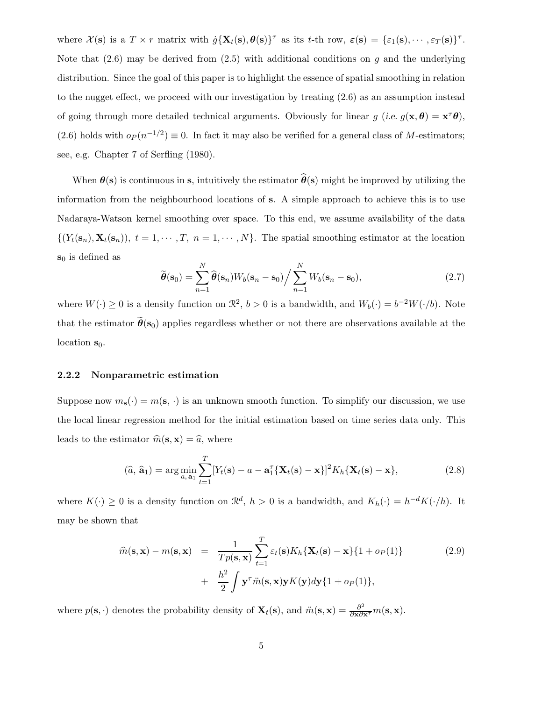where  $\mathcal{X}(s)$  is a  $T \times r$  matrix with  $\dot{g}\{\mathbf{X}_t(s), \theta(s)\}^{\tau}$  as its t-th row,  $\varepsilon(s) = {\varepsilon_1(s), \cdots, \varepsilon_T(s)}^{\tau}$ . Note that  $(2.6)$  may be derived from  $(2.5)$  with additional conditions on g and the underlying distribution. Since the goal of this paper is to highlight the essence of spatial smoothing in relation to the nugget effect, we proceed with our investigation by treating (2.6) as an assumption instead of going through more detailed technical arguments. Obviously for linear  $g$  (i.e.  $g(\mathbf{x}, \boldsymbol{\theta}) = \mathbf{x}^{\tau} \boldsymbol{\theta}$ ), (2.6) holds with  $o_P(n^{-1/2}) \equiv 0$ . In fact it may also be verified for a general class of M-estimators; see, e.g. Chapter 7 of Serfling (1980).

When  $\theta(s)$  is continuous in s, intuitively the estimator  $\hat{\theta}(s)$  might be improved by utilizing the information from the neighbourhood locations of s. A simple approach to achieve this is to use Nadaraya-Watson kernel smoothing over space. To this end, we assume availability of the data  $\{(Y_t(\mathbf{s}_n), \mathbf{X}_t(\mathbf{s}_n)), t = 1, \cdots, T, n = 1, \cdots, N\}$ . The spatial smoothing estimator at the location  $\mathbf{s}_0$  is defined as

$$
\widetilde{\boldsymbol{\theta}}(\mathbf{s}_0) = \sum_{n=1}^{N} \widehat{\boldsymbol{\theta}}(\mathbf{s}_n) W_b(\mathbf{s}_n - \mathbf{s}_0) / \sum_{n=1}^{N} W_b(\mathbf{s}_n - \mathbf{s}_0),
$$
\n(2.7)

where  $W(\cdot) \ge 0$  is a density function on  $\mathcal{R}^2$ ,  $b > 0$  is a bandwidth, and  $W_b(\cdot) = b^{-2}W(\cdot/b)$ . Note that the estimator  $\tilde{\theta}(s_0)$  applies regardless whether or not there are observations available at the location  $s_0$ .

#### 2.2.2 Nonparametric estimation

Suppose now  $m_s(\cdot) = m(s, \cdot)$  is an unknown smooth function. To simplify our discussion, we use the local linear regression method for the initial estimation based on time series data only. This leads to the estimator  $\hat{m}(\mathbf{s}, \mathbf{x}) = \hat{a}$ , where

$$
(\widehat{a}, \widehat{\mathbf{a}}_1) = \arg\min_{a, \mathbf{a}_1} \sum_{t=1}^T [Y_t(\mathbf{s}) - a - \mathbf{a}_1^T \{\mathbf{X}_t(\mathbf{s}) - \mathbf{x}\}]^2 K_h \{\mathbf{X}_t(\mathbf{s}) - \mathbf{x}\},
$$
\n(2.8)

where  $K(\cdot) \geq 0$  is a density function on  $\mathcal{R}^d$ ,  $h > 0$  is a bandwidth, and  $K_h(\cdot) = h^{-d}K(\cdot/h)$ . It may be shown that

$$
\widehat{m}(\mathbf{s}, \mathbf{x}) - m(\mathbf{s}, \mathbf{x}) = \frac{1}{Tp(\mathbf{s}, \mathbf{x})} \sum_{t=1}^{T} \varepsilon_t(\mathbf{s}) K_h \{ \mathbf{X}_t(\mathbf{s}) - \mathbf{x} \} \{ 1 + o_P(1) \} \n+ \frac{h^2}{2} \int \mathbf{y}^\tau \ddot{m}(\mathbf{s}, \mathbf{x}) \mathbf{y} K(\mathbf{y}) d\mathbf{y} \{ 1 + o_P(1) \},
$$
\n(2.9)

where  $p(\mathbf{s}, \cdot)$  denotes the probability density of  $\mathbf{X}_t(\mathbf{s})$ , and  $\ddot{m}(\mathbf{s}, \mathbf{x}) = \frac{\partial^2}{\partial \mathbf{x} \partial \mathbf{x}^{\tau}} m(\mathbf{s}, \mathbf{x})$ .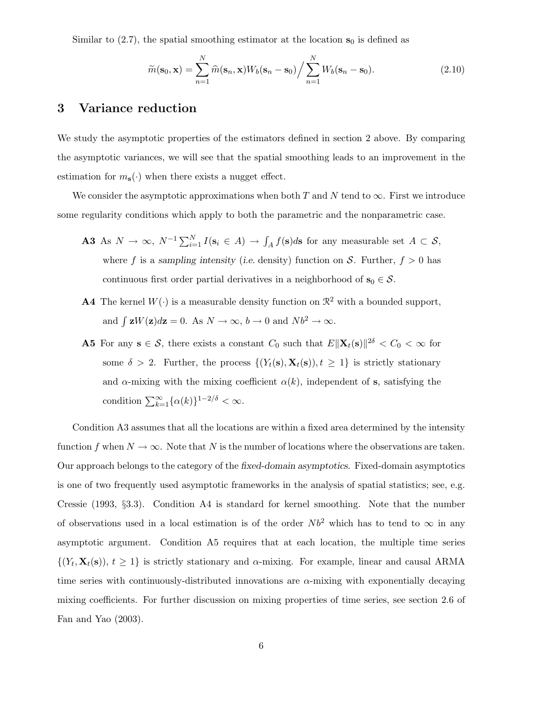Similar to  $(2.7)$ , the spatial smoothing estimator at the location  $s_0$  is defined as

$$
\widetilde{m}(\mathbf{s}_0, \mathbf{x}) = \sum_{n=1}^{N} \widehat{m}(\mathbf{s}_n, \mathbf{x}) W_b(\mathbf{s}_n - \mathbf{s}_0) / \sum_{n=1}^{N} W_b(\mathbf{s}_n - \mathbf{s}_0).
$$
\n(2.10)

## 3 Variance reduction

We study the asymptotic properties of the estimators defined in section 2 above. By comparing the asymptotic variances, we will see that the spatial smoothing leads to an improvement in the estimation for  $m_s(\cdot)$  when there exists a nugget effect.

We consider the asymptotic approximations when both T and N tend to  $\infty$ . First we introduce some regularity conditions which apply to both the parametric and the nonparametric case.

- **A3** As  $N \to \infty$ ,  $N^{-1} \sum_{i=1}^{N} I(\mathbf{s}_i \in A) \to \int_A f(\mathbf{s}) d\mathbf{s}$  for any measurable set  $A \subset S$ , where f is a sampling intensity (i.e. density) function on S. Further,  $f > 0$  has continuous first order partial derivatives in a neighborhood of  $s_0 \in S$ .
- **A4** The kernel  $W(\cdot)$  is a measurable density function on  $\mathbb{R}^2$  with a bounded support, and  $\int zW(z)dz = 0$ . As  $N \to \infty$ ,  $b \to 0$  and  $Nb^2 \to \infty$ .
- **A5** For any  $s \in S$ , there exists a constant  $C_0$  such that  $E\|\mathbf{X}_t(s)\|^2$ <sup>δ</sup> <  $C_0 < \infty$  for some  $\delta > 2$ . Further, the process  $\{(Y_t(\mathbf{s}), \mathbf{X}_t(\mathbf{s})), t \geq 1\}$  is strictly stationary and  $\alpha$ -mixing with the mixing coefficient  $\alpha(k)$ , independent of s, satisfying the condition  $\sum_{k=1}^{\infty} {\{\alpha(k)\}}^{1-2/\delta} < \infty$ .

Condition A3 assumes that all the locations are within a fixed area determined by the intensity function f when  $N \to \infty$ . Note that N is the number of locations where the observations are taken. Our approach belongs to the category of the fixed-domain asymptotics. Fixed-domain asymptotics is one of two frequently used asymptotic frameworks in the analysis of spatial statistics; see, e.g. Cressie (1993, §3.3). Condition A4 is standard for kernel smoothing. Note that the number of observations used in a local estimation is of the order  $Nb^2$  which has to tend to  $\infty$  in any asymptotic argument. Condition A5 requires that at each location, the multiple time series  $\{(Y_t, \mathbf{X}_t(\mathbf{s})), t \geq 1\}$  is strictly stationary and  $\alpha$ -mixing. For example, linear and causal ARMA time series with continuously-distributed innovations are  $\alpha$ -mixing with exponentially decaying mixing coefficients. For further discussion on mixing properties of time series, see section 2.6 of Fan and Yao (2003).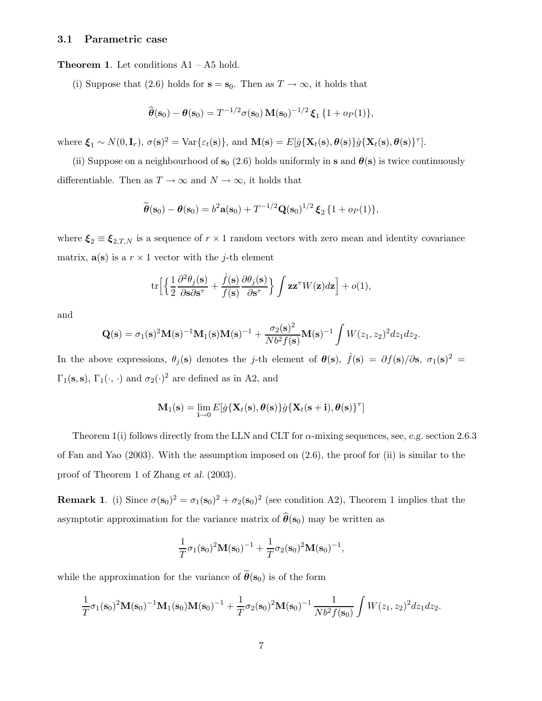#### 3.1 Parametric case

Theorem 1. Let conditions A1 – A5 hold.

(i) Suppose that (2.6) holds for  $s = s_0$ . Then as  $T \to \infty$ , it holds that

$$
\widehat{\boldsymbol{\theta}}(\mathbf{s}_0) - \boldsymbol{\theta}(\mathbf{s}_0) = T^{-1/2} \sigma(\mathbf{s}_0) \, \mathbf{M}(\mathbf{s}_0)^{-1/2} \, \boldsymbol{\xi}_1 \, \{ 1 + o_P(1) \},
$$

where  $\boldsymbol{\xi}_1 \sim N(0, \mathbf{I}_r)$ ,  $\sigma(\mathbf{s})^2 = \text{Var}\{\varepsilon_t(\mathbf{s})\}$ , and  $\mathbf{M}(\mathbf{s}) = E[j\{\mathbf{X}_t(\mathbf{s}), \boldsymbol{\theta}(\mathbf{s})\}j\{\mathbf{X}_t(\mathbf{s}), \boldsymbol{\theta}(\mathbf{s})\}^{\tau}]$ .

(ii) Suppose on a neighbourhood of  $s_0$  (2.6) holds uniformly in s and  $\theta(s)$  is twice continuously differentiable. Then as  $T \to \infty$  and  $N \to \infty$ , it holds that

$$
\widetilde{\theta}(\mathbf{s}_0) - \theta(\mathbf{s}_0) = b^2 \mathbf{a}(\mathbf{s}_0) + T^{-1/2} \mathbf{Q}(\mathbf{s}_0)^{1/2} \boldsymbol{\xi}_2 \{1 + o_P(1)\},
$$

where  $\xi_2 \equiv \xi_{2,T,N}$  is a sequence of  $r \times 1$  random vectors with zero mean and identity covariance matrix,  $\mathbf{a}(s)$  is a  $r \times 1$  vector with the j-th element

$$
\mathrm{tr}\Big[\Big\{\frac{1}{2}\frac{\partial^2\theta_j(\mathbf{s})}{\partial\mathbf{s}\partial\mathbf{s}^{\tau}}+\frac{\dot{f}(\mathbf{s})}{f(\mathbf{s})}\frac{\partial\theta_j(\mathbf{s})}{\partial\mathbf{s}^{\tau}}\Big\}\int\mathbf{z}\mathbf{z}^{\tau}W(\mathbf{z})d\mathbf{z}\Big]+o(1),
$$

and

$$
\mathbf{Q(s)} = \sigma_1(\mathbf{s})^2 \mathbf{M(s)}^{-1} \mathbf{M}_1(\mathbf{s}) \mathbf{M(s)}^{-1} + \frac{\sigma_2(\mathbf{s})^2}{Nb^2 f(\mathbf{s})} \mathbf{M(s)}^{-1} \int W(z_1, z_2)^2 dz_1 dz_2.
$$

In the above expressions,  $\theta_j(\mathbf{s})$  denotes the j-th element of  $\theta(\mathbf{s})$ ,  $\dot{f}(\mathbf{s}) = \partial f(\mathbf{s})/\partial \mathbf{s}$ ,  $\sigma_1(\mathbf{s})^2 =$  $\Gamma_1(\mathbf{s}, \mathbf{s})$ ,  $\Gamma_1(\cdot, \cdot)$  and  $\sigma_2(\cdot)^2$  are defined as in A2, and

$$
\mathbf{M}_1(\mathbf{s}) = \lim_{\mathbf{i} \to 0} E[\dot{g}\{\mathbf{X}_t(\mathbf{s}), \pmb{\theta}(\mathbf{s})\}\dot{g}\{\mathbf{X}_t(\mathbf{s}+\mathbf{i}), \pmb{\theta}(\mathbf{s})\}^{\tau}]
$$

Theorem 1(i) follows directly from the LLN and CLT for  $\alpha$ -mixing sequences, see, e.g. section 2.6.3 of Fan and Yao (2003). With the assumption imposed on (2.6), the proof for (ii) is similar to the proof of Theorem 1 of Zhang et al. (2003).

**Remark 1.** (i) Since  $\sigma(\mathbf{s}_0)^2 = \sigma_1(\mathbf{s}_0)^2 + \sigma_2(\mathbf{s}_0)^2$  (see condition A2), Theorem 1 implies that the asymptotic approximation for the variance matrix of  $\hat{\theta}(\mathbf{s}_0)$  may be written as

$$
\frac{1}{T}\sigma_1(s_0)^2 \mathbf{M}(s_0)^{-1} + \frac{1}{T}\sigma_2(s_0)^2 \mathbf{M}(s_0)^{-1},
$$

while the approximation for the variance of  $\tilde{\theta}(\mathbf{s}_0)$  is of the form

$$
\frac{1}{T}\sigma_1(\mathbf{s}_0)^2 \mathbf{M}(\mathbf{s}_0)^{-1} \mathbf{M}_1(\mathbf{s}_0) \mathbf{M}(\mathbf{s}_0)^{-1} + \frac{1}{T}\sigma_2(\mathbf{s}_0)^2 \mathbf{M}(\mathbf{s}_0)^{-1} \frac{1}{Nb^2 f(\mathbf{s}_0)} \int W(z_1, z_2)^2 dz_1 dz_2.
$$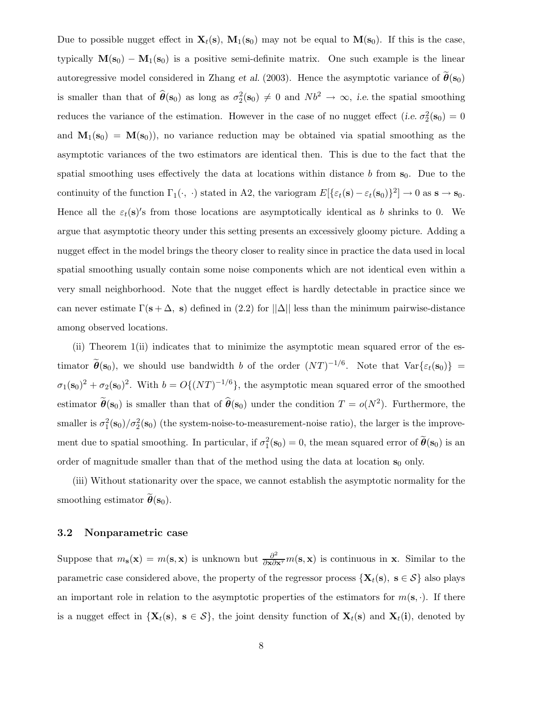Due to possible nugget effect in  $\mathbf{X}_t(\mathbf{s})$ ,  $\mathbf{M}_1(\mathbf{s}_0)$  may not be equal to  $\mathbf{M}(\mathbf{s}_0)$ . If this is the case, typically  $M(s_0) - M_1(s_0)$  is a positive semi-definite matrix. One such example is the linear autoregressive model considered in Zhang et al. (2003). Hence the asymptotic variance of  $\tilde{\theta}(s_0)$ is smaller than that of  $\hat{\theta}(\mathbf{s}_0)$  as long as  $\sigma_2^2(\mathbf{s}_0) \neq 0$  and  $Nb^2 \to \infty$ , *i.e.* the spatial smoothing reduces the variance of the estimation. However in the case of no nugget effect (i.e.  $\sigma_2^2(\mathbf{s}_0) = 0$ and  $M_1(s_0) = M(s_0)$ , no variance reduction may be obtained via spatial smoothing as the asymptotic variances of the two estimators are identical then. This is due to the fact that the spatial smoothing uses effectively the data at locations within distance  $b$  from  $s_0$ . Due to the continuity of the function  $\Gamma_1(\cdot, \cdot)$  stated in A2, the variogram  $E[\{\varepsilon_t(\mathbf{s}) - \varepsilon_t(\mathbf{s}_0)\}^2] \to 0$  as  $\mathbf{s} \to \mathbf{s}_0$ . Hence all the  $\varepsilon_t(s)'$ s from those locations are asymptotically identical as b shrinks to 0. We argue that asymptotic theory under this setting presents an excessively gloomy picture. Adding a nugget effect in the model brings the theory closer to reality since in practice the data used in local spatial smoothing usually contain some noise components which are not identical even within a very small neighborhood. Note that the nugget effect is hardly detectable in practice since we can never estimate  $\Gamma(\mathbf{s} + \Delta, \mathbf{s})$  defined in (2.2) for  $||\Delta||$  less than the minimum pairwise-distance among observed locations.

(ii) Theorem 1(ii) indicates that to minimize the asymptotic mean squared error of the estimator  $\widetilde{\theta}(\mathbf{s}_0)$ , we should use bandwidth b of the order  $(NT)^{-1/6}$ . Note that  $\text{Var}\{\varepsilon_t(\mathbf{s}_0)\}$  =  $\sigma_1(\mathbf{s}_0)^2 + \sigma_2(\mathbf{s}_0)^2$ . With  $b = O\{(NT)^{-1/6}\}$ , the asymptotic mean squared error of the smoothed estimator  $\tilde{\theta}(s_0)$  is smaller than that of  $\hat{\theta}(s_0)$  under the condition  $T = o(N^2)$ . Furthermore, the smaller is  $\sigma_1^2(s_0)/\sigma_2^2(s_0)$  (the system-noise-to-measurement-noise ratio), the larger is the improvement due to spatial smoothing. In particular, if  $\sigma_1^2(s_0) = 0$ , the mean squared error of  $\widetilde{\theta}(s_0)$  is an order of magnitude smaller than that of the method using the data at location  $s_0$  only.

(iii) Without stationarity over the space, we cannot establish the asymptotic normality for the smoothing estimator  $\hat{\boldsymbol{\theta}}(\mathbf{s}_0)$ .

#### 3.2 Nonparametric case

Suppose that  $m_s(\mathbf{x}) = m(\mathbf{s}, \mathbf{x})$  is unknown but  $\frac{\partial^2}{\partial \mathbf{x} \partial \mathbf{x}^T} m(\mathbf{s}, \mathbf{x})$  is continuous in **x**. Similar to the parametric case considered above, the property of the regressor process  $\{X_t(s), s \in S\}$  also plays an important role in relation to the asymptotic properties of the estimators for  $m(\mathbf{s}, \cdot)$ . If there is a nugget effect in  $\{X_t(s), s \in S\}$ , the joint density function of  $X_t(s)$  and  $X_t(i)$ , denoted by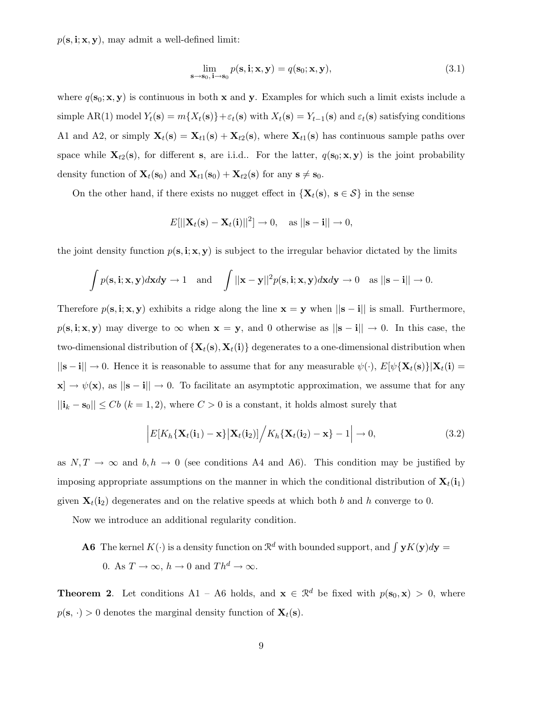$p(\mathbf{s}, \mathbf{i}; \mathbf{x}, \mathbf{y})$ , may admit a well-defined limit:

$$
\lim_{\mathbf{s}\to\mathbf{s}_0,\,\mathbf{i}\to\mathbf{s}_0}p(\mathbf{s},\mathbf{i};\mathbf{x},\mathbf{y})=q(\mathbf{s}_0;\mathbf{x},\mathbf{y}),\tag{3.1}
$$

where  $q(s_0; x, y)$  is continuous in both x and y. Examples for which such a limit exists include a simple AR(1) model  $Y_t(\mathbf{s}) = m\{X_t(\mathbf{s})\} + \varepsilon_t(\mathbf{s})$  with  $X_t(\mathbf{s}) = Y_{t-1}(\mathbf{s})$  and  $\varepsilon_t(\mathbf{s})$  satisfying conditions A1 and A2, or simply  $\mathbf{X}_t(\mathbf{s}) = \mathbf{X}_{t1}(\mathbf{s}) + \mathbf{X}_{t2}(\mathbf{s})$ , where  $\mathbf{X}_{t1}(\mathbf{s})$  has continuous sample paths over space while  $\mathbf{X}_{t2}(s)$ , for different s, are i.i.d.. For the latter,  $q(s_0; \mathbf{x}, \mathbf{y})$  is the joint probability density function of  $\mathbf{X}_t(\mathbf{s}_0)$  and  $\mathbf{X}_{t1}(\mathbf{s}_0) + \mathbf{X}_{t2}(\mathbf{s})$  for any  $\mathbf{s} \neq \mathbf{s}_0$ .

On the other hand, if there exists no nugget effect in  $\{X_t(s), s \in S\}$  in the sense

$$
E[||\mathbf{X}_t(\mathbf{s}) - \mathbf{X}_t(\mathbf{i})||^2] \to 0, \quad \text{as } ||\mathbf{s} - \mathbf{i}|| \to 0,
$$

the joint density function  $p(s, \mathbf{i}; x, y)$  is subject to the irregular behavior dictated by the limits

$$
\int p(\mathbf{s}, \mathbf{i}; \mathbf{x}, \mathbf{y}) d\mathbf{x} d\mathbf{y} \to 1 \quad \text{and} \quad \int ||\mathbf{x} - \mathbf{y}||^2 p(\mathbf{s}, \mathbf{i}; \mathbf{x}, \mathbf{y}) d\mathbf{x} d\mathbf{y} \to 0 \quad \text{as } ||\mathbf{s} - \mathbf{i}|| \to 0.
$$

Therefore  $p(s, i; x, y)$  exhibits a ridge along the line  $x = y$  when  $||s - i||$  is small. Furthermore,  $p(s, i; x, y)$  may diverge to  $\infty$  when  $x = y$ , and 0 otherwise as  $||s - i|| \rightarrow 0$ . In this case, the two-dimensional distribution of  $\{X_t(s), X_t(i)\}\$  degenerates to a one-dimensional distribution when  $||\mathbf{s}-\mathbf{i}|| \to 0$ . Hence it is reasonable to assume that for any measurable  $\psi(\cdot), E[\psi\{\mathbf{X}_t(\mathbf{s})\}|\mathbf{X}_t(\mathbf{i})]$  $\mathbf{x} \rightarrow \psi(\mathbf{x})$ , as  $\|\mathbf{s} - \mathbf{i}\| \rightarrow 0$ . To facilitate an asymptotic approximation, we assume that for any  $||\mathbf{i}_k - \mathbf{s}_0|| \leq Cb$   $(k = 1, 2)$ , where  $C > 0$  is a constant, it holds almost surely that

$$
\left| E[K_h\{\mathbf{X}_t(\mathbf{i}_1) - \mathbf{x}\} \big| \mathbf{X}_t(\mathbf{i}_2)] \right/ K_h\{\mathbf{X}_t(\mathbf{i}_2) - \mathbf{x}\} - 1 \right| \to 0,
$$
\n(3.2)

as  $N, T \to \infty$  and  $b, h \to 0$  (see conditions A4 and A6). This condition may be justified by imposing appropriate assumptions on the manner in which the conditional distribution of  $\mathbf{X}_t(i_1)$ given  $\mathbf{X}_t(i_2)$  degenerates and on the relative speeds at which both b and h converge to 0.

Now we introduce an additional regularity condition.

**A6** The kernel  $K(\cdot)$  is a density function on  $\mathbb{R}^d$  with bounded support, and  $\int yK(y)dy =$ 0. As  $T \to \infty$ ,  $h \to 0$  and  $Th^d \to \infty$ .

**Theorem 2**. Let conditions A1 – A6 holds, and  $\mathbf{x} \in \mathbb{R}^d$  be fixed with  $p(\mathbf{s}_0, \mathbf{x}) > 0$ , where  $p(\mathbf{s}, \cdot) > 0$  denotes the marginal density function of  $\mathbf{X}_t(\mathbf{s})$ .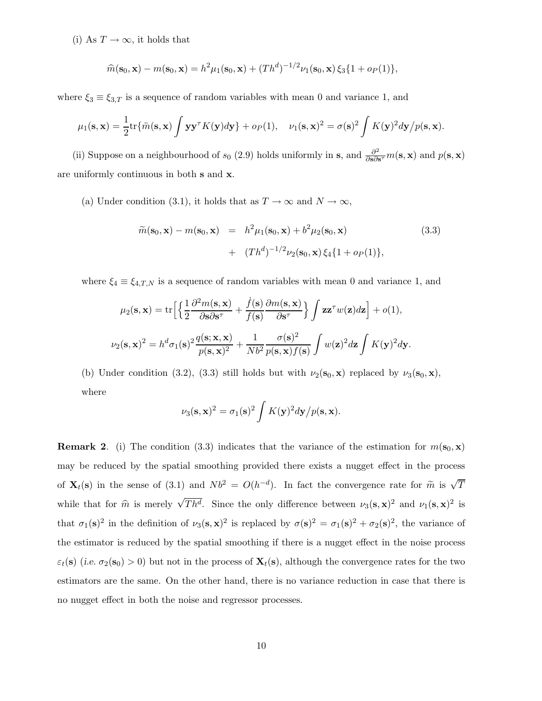(i) As  $T \to \infty$ , it holds that

$$
\widehat{m}(\mathbf{s}_0, \mathbf{x}) - m(\mathbf{s}_0, \mathbf{x}) = h^2 \mu_1(\mathbf{s}_0, \mathbf{x}) + (Th^d)^{-1/2} \nu_1(\mathbf{s}_0, \mathbf{x}) \xi_3 \{1 + o_P(1)\},
$$

where  $\xi_3 \equiv \xi_{3,T}$  is a sequence of random variables with mean 0 and variance 1, and

$$
\mu_1(\mathbf{s}, \mathbf{x}) = \frac{1}{2} \text{tr} \{ \ddot{m}(\mathbf{s}, \mathbf{x}) \int \mathbf{y} \mathbf{y}^{\tau} K(\mathbf{y}) d\mathbf{y} \} + o_P(1), \quad \nu_1(\mathbf{s}, \mathbf{x})^2 = \sigma(\mathbf{s})^2 \int K(\mathbf{y})^2 d\mathbf{y} / p(\mathbf{s}, \mathbf{x}).
$$

(ii) Suppose on a neighbourhood of  $s_0$  (2.9) holds uniformly in s, and  $\frac{\partial^2}{\partial s \partial t}$  $\frac{\partial^2}{\partial s \partial s^\tau} m(s, \mathbf{x})$  and  $p(s, \mathbf{x})$ are uniformly continuous in both s and x.

(a) Under condition (3.1), it holds that as  $T \to \infty$  and  $N \to \infty$ ,

$$
\widetilde{m}(\mathbf{s}_0, \mathbf{x}) - m(\mathbf{s}_0, \mathbf{x}) = h^2 \mu_1(\mathbf{s}_0, \mathbf{x}) + b^2 \mu_2(\mathbf{s}_0, \mathbf{x}) \n+ (Th^d)^{-1/2} \nu_2(\mathbf{s}_0, \mathbf{x}) \xi_4 \{1 + o_P(1)\},
$$
\n(3.3)

where  $\xi_4 \equiv \xi_{4,T,N}$  is a sequence of random variables with mean 0 and variance 1, and

$$
\mu_2(\mathbf{s}, \mathbf{x}) = \text{tr}\Big[\Big\{\frac{1}{2}\frac{\partial^2 m(\mathbf{s}, \mathbf{x})}{\partial \mathbf{s} \partial \mathbf{s}^{\tau}} + \frac{\dot{f}(\mathbf{s})}{f(\mathbf{s})}\frac{\partial m(\mathbf{s}, \mathbf{x})}{\partial \mathbf{s}^{\tau}}\Big\}\int \mathbf{z}\mathbf{z}^{\tau}w(\mathbf{z})d\mathbf{z}\Big] + o(1),
$$
  

$$
\nu_2(\mathbf{s}, \mathbf{x})^2 = h^d \sigma_1(\mathbf{s})^2 \frac{q(\mathbf{s}; \mathbf{x}, \mathbf{x})}{p(\mathbf{s}, \mathbf{x})^2} + \frac{1}{Nb^2} \frac{\sigma(\mathbf{s})^2}{p(\mathbf{s}, \mathbf{x})f(\mathbf{s})}\int w(\mathbf{z})^2 d\mathbf{z}\int K(\mathbf{y})^2 d\mathbf{y}.
$$

(b) Under condition (3.2), (3.3) still holds but with  $\nu_2(\mathbf{s}_0, \mathbf{x})$  replaced by  $\nu_3(\mathbf{s}_0, \mathbf{x})$ , where

$$
\nu_3(\mathbf{s}, \mathbf{x})^2 = \sigma_1(\mathbf{s})^2 \int K(\mathbf{y})^2 d\mathbf{y} / p(\mathbf{s}, \mathbf{x}).
$$

**Remark 2.** (i) The condition (3.3) indicates that the variance of the estimation for  $m(\mathbf{s}_0, \mathbf{x})$ may be reduced by the spatial smoothing provided there exists a nugget effect in the process of  $\mathbf{X}_t(\mathbf{s})$  in the sense of (3.1) and  $Nb^2 = O(h^{-d})$ . In fact the convergence rate for  $\tilde{m}$  is  $\sqrt{T}$ while that for  $\hat{m}$  is merely  $\sqrt{Th^d}$ . Since the only difference between  $\nu_3(s, x)^2$  and  $\nu_1(s, x)^2$  is that  $\sigma_1(s)^2$  in the definition of  $\nu_3(s,x)^2$  is replaced by  $\sigma(s)^2 = \sigma_1(s)^2 + \sigma_2(s)^2$ , the variance of the estimator is reduced by the spatial smoothing if there is a nugget effect in the noise process  $\varepsilon_t(\mathbf{s})$  (i.e.  $\sigma_2(\mathbf{s}_0) > 0$ ) but not in the process of  $\mathbf{X}_t(\mathbf{s})$ , although the convergence rates for the two estimators are the same. On the other hand, there is no variance reduction in case that there is no nugget effect in both the noise and regressor processes.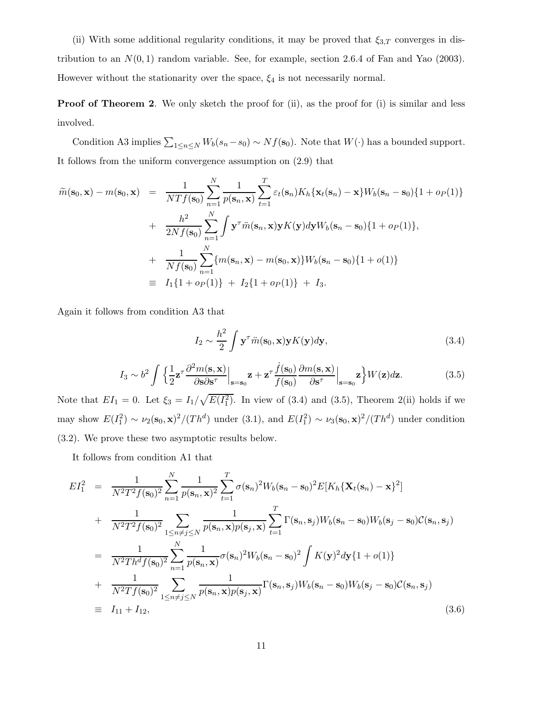(ii) With some additional regularity conditions, it may be proved that  $\xi_{3,T}$  converges in distribution to an  $N(0, 1)$  random variable. See, for example, section 2.6.4 of Fan and Yao (2003). However without the stationarity over the space,  $\xi_4$  is not necessarily normal.

**Proof of Theorem 2.** We only sketch the proof for (ii), as the proof for (i) is similar and less involved.

Condition A3 implies  $\sum_{1 \le n \le N} W_b(s_n - s_0) \sim Nf(\mathbf{s}_0)$ . Note that  $W(\cdot)$  has a bounded support. It follows from the uniform convergence assumption on (2.9) that

$$
\widetilde{m}(\mathbf{s}_0, \mathbf{x}) - m(\mathbf{s}_0, \mathbf{x}) = \frac{1}{NTf(\mathbf{s}_0)} \sum_{n=1}^N \frac{1}{p(\mathbf{s}_n, \mathbf{x})} \sum_{t=1}^T \varepsilon_t(\mathbf{s}_n) K_h \{ \mathbf{x}_t(\mathbf{s}_n) - \mathbf{x} \} W_b(\mathbf{s}_n - \mathbf{s}_0) \{ 1 + o_P(1) \}
$$
\n
$$
+ \frac{h^2}{2Nf(\mathbf{s}_0)} \sum_{n=1}^N \int \mathbf{y}^\tau \ddot{m}(\mathbf{s}_n, \mathbf{x}) \mathbf{y} K(\mathbf{y}) d\mathbf{y} W_b(\mathbf{s}_n - \mathbf{s}_0) \{ 1 + o_P(1) \},
$$
\n
$$
+ \frac{1}{Nf(\mathbf{s}_0)} \sum_{n=1}^N \{ m(\mathbf{s}_n, \mathbf{x}) - m(\mathbf{s}_0, \mathbf{x}) \} W_b(\mathbf{s}_n - \mathbf{s}_0) \{ 1 + o(1) \}
$$
\n
$$
\equiv I_1 \{ 1 + o_P(1) \} + I_2 \{ 1 + o_P(1) \} + I_3.
$$

Again it follows from condition A3 that

$$
I_2 \sim \frac{h^2}{2} \int \mathbf{y}^\tau \ddot{m}(\mathbf{s}_0, \mathbf{x}) \mathbf{y} K(\mathbf{y}) d\mathbf{y},\tag{3.4}
$$

$$
I_3 \sim b^2 \int \left\{ \frac{1}{2} \mathbf{z}^\tau \frac{\partial^2 m(\mathbf{s}, \mathbf{x})}{\partial \mathbf{s} \partial \mathbf{s}^\tau} \Big|_{\mathbf{s} = \mathbf{s}_0} \mathbf{z} + \mathbf{z}^\tau \frac{\dot{f}(\mathbf{s}_0)}{f(\mathbf{s}_0)} \frac{\partial m(\mathbf{s}, \mathbf{x})}{\partial \mathbf{s}^\tau} \Big|_{\mathbf{s} = \mathbf{s}_0} \mathbf{z} \right\} W(\mathbf{z}) d\mathbf{z}.
$$
 (3.5)

Note that  $EI_1 = 0$ . Let  $\xi_3 = I_1/\sqrt{E(I_1^2)}$ . In view of (3.4) and (3.5), Theorem 2(ii) holds if we may show  $E(I_1^2) \sim \nu_2(\mathbf{s}_0, \mathbf{x})^2/(Th^d)$  under (3.1), and  $E(I_1^2) \sim \nu_3(\mathbf{s}_0, \mathbf{x})^2/(Th^d)$  under condition (3.2). We prove these two asymptotic results below.

It follows from condition A1 that

$$
EI_1^2 = \frac{1}{N^2T^2f(\mathbf{s}_0)^2} \sum_{n=1}^N \frac{1}{p(\mathbf{s}_n, \mathbf{x})^2} \sum_{t=1}^T \sigma(\mathbf{s}_n)^2 W_b(\mathbf{s}_n - \mathbf{s}_0)^2 E[K_h\{\mathbf{X}_t(\mathbf{s}_n) - \mathbf{x}\}^2]
$$
  
+ 
$$
\frac{1}{N^2T^2f(\mathbf{s}_0)^2} \sum_{1 \le n \ne j \le N} \frac{1}{p(\mathbf{s}_n, \mathbf{x})p(\mathbf{s}_j, \mathbf{x})} \sum_{t=1}^T \Gamma(\mathbf{s}_n, \mathbf{s}_j) W_b(\mathbf{s}_n - \mathbf{s}_0) W_b(\mathbf{s}_j - \mathbf{s}_0) C(\mathbf{s}_n, \mathbf{s}_j)
$$
  
= 
$$
\frac{1}{N^2Th^d f(\mathbf{s}_0)^2} \sum_{n=1}^N \frac{1}{p(\mathbf{s}_n, \mathbf{x})} \sigma(\mathbf{s}_n)^2 W_b(\mathbf{s}_n - \mathbf{s}_0)^2 \int K(\mathbf{y})^2 d\mathbf{y} \{1 + o(1)\}
$$
  
+ 
$$
\frac{1}{N^2Tf(\mathbf{s}_0)^2} \sum_{1 \le n \ne j \le N} \frac{1}{p(\mathbf{s}_n, \mathbf{x})p(\mathbf{s}_j, \mathbf{x})} \Gamma(\mathbf{s}_n, \mathbf{s}_j) W_b(\mathbf{s}_n - \mathbf{s}_0) W_b(\mathbf{s}_j - \mathbf{s}_0) C(\mathbf{s}_n, \mathbf{s}_j)
$$
  
=  $I_{11} + I_{12}$ , (3.6)